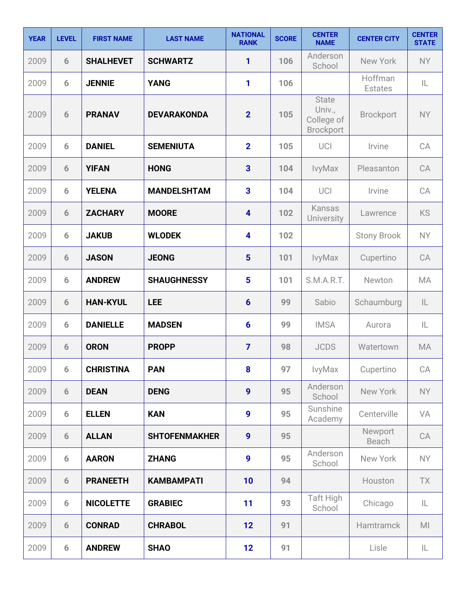| <b>YEAR</b> | <b>LEVEL</b> | <b>FIRST NAME</b> | <b>LAST NAME</b>     | <b>NATIONAL</b><br><b>RANK</b> | <b>SCORE</b> | <b>CENTER</b><br><b>NAME</b>                      | <b>CENTER CITY</b>        | <b>CENTER</b><br><b>STATE</b> |
|-------------|--------------|-------------------|----------------------|--------------------------------|--------------|---------------------------------------------------|---------------------------|-------------------------------|
| 2009        | 6            | <b>SHALHEVET</b>  | <b>SCHWARTZ</b>      | 1                              | 106          | Anderson<br>School                                | New York                  | <b>NY</b>                     |
| 2009        | 6            | <b>JENNIE</b>     | <b>YANG</b>          | 1                              | 106          |                                                   | Hoffman<br><b>Estates</b> | IL                            |
| 2009        | 6            | <b>PRANAV</b>     | <b>DEVARAKONDA</b>   | $\overline{2}$                 | 105          | <b>State</b><br>Univ.,<br>College of<br>Brockport | <b>Brockport</b>          | <b>NY</b>                     |
| 2009        | 6            | <b>DANIEL</b>     | <b>SEMENIUTA</b>     | $\overline{2}$                 | 105          | UCI                                               | Irvine                    | CA                            |
| 2009        | 6            | <b>YIFAN</b>      | <b>HONG</b>          | $\overline{\mathbf{3}}$        | 104          | IvyMax                                            | Pleasanton                | CA                            |
| 2009        | 6            | <b>YELENA</b>     | <b>MANDELSHTAM</b>   | $\overline{\mathbf{3}}$        | 104          | UCI                                               | Irvine                    | CA                            |
| 2009        | 6            | <b>ZACHARY</b>    | <b>MOORE</b>         | $\overline{\mathbf{4}}$        | 102          | Kansas<br>University                              | Lawrence                  | <b>KS</b>                     |
| 2009        | 6            | <b>JAKUB</b>      | <b>WLODEK</b>        | 4                              | 102          |                                                   | <b>Stony Brook</b>        | <b>NY</b>                     |
| 2009        | 6            | <b>JASON</b>      | <b>JEONG</b>         | 5                              | 101          | IvyMax                                            | Cupertino                 | CA                            |
| 2009        | 6            | <b>ANDREW</b>     | <b>SHAUGHNESSY</b>   | 5                              | 101          | S.M.A.R.T.                                        | Newton                    | MA                            |
| 2009        | 6            | <b>HAN-KYUL</b>   | <b>LEE</b>           | $6\phantom{1}6$                | 99           | Sabio                                             | Schaumburg                | IL                            |
| 2009        | 6            | <b>DANIELLE</b>   | <b>MADSEN</b>        | $6\phantom{1}6$                | 99           | <b>IMSA</b>                                       | Aurora                    | IL                            |
| 2009        | 6            | <b>ORON</b>       | <b>PROPP</b>         | $\overline{7}$                 | 98           | <b>JCDS</b>                                       | Watertown                 | MA                            |
| 2009        | 6            | <b>CHRISTINA</b>  | <b>PAN</b>           | $\boldsymbol{8}$               | 97           | IvyMax                                            | Cupertino                 | CA                            |
| 2009        | 6            | <b>DEAN</b>       | <b>DENG</b>          | $\boldsymbol{9}$               | 95           | Anderson<br>School                                | New York                  | <b>NY</b>                     |
| 2009        | 6            | <b>ELLEN</b>      | <b>KAN</b>           | $\boldsymbol{9}$               | 95           | Sunshine<br>Academy                               | Centerville               | VA                            |
| 2009        | 6            | <b>ALLAN</b>      | <b>SHTOFENMAKHER</b> | $\boldsymbol{9}$               | 95           |                                                   | Newport<br>Beach          | CA                            |
| 2009        | 6            | <b>AARON</b>      | <b>ZHANG</b>         | 9                              | 95           | Anderson<br>School                                | New York                  | <b>NY</b>                     |
| 2009        | 6            | <b>PRANEETH</b>   | <b>KAMBAMPATI</b>    | 10                             | 94           |                                                   | Houston                   | TX                            |
| 2009        | 6            | <b>NICOLETTE</b>  | <b>GRABIEC</b>       | 11                             | 93           | Taft High<br>School                               | Chicago                   | IL                            |
| 2009        | 6            | <b>CONRAD</b>     | <b>CHRABOL</b>       | 12                             | 91           |                                                   | Hamtramck                 | M <sub>l</sub>                |
| 2009        | 6            | <b>ANDREW</b>     | <b>SHAO</b>          | 12                             | 91           |                                                   | Lisle                     | IL                            |